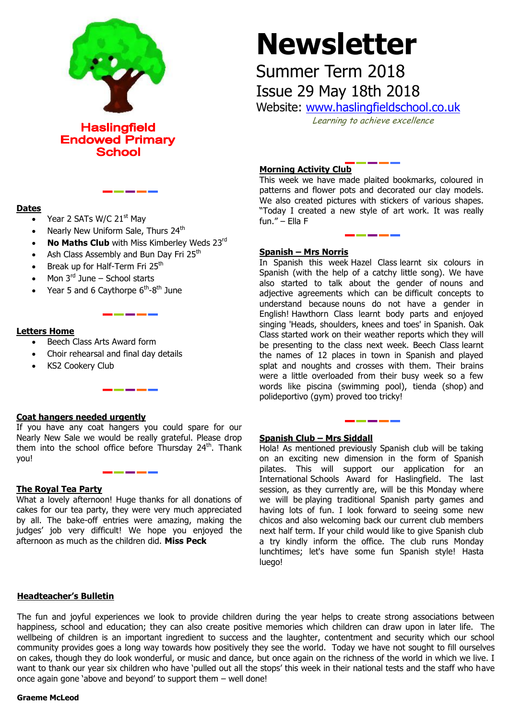

**Haslingfield Endowed Primary School** 

## **Dates**

- Year 2 SATs W/C 21<sup>st</sup> May
- Nearly New Uniform Sale, Thurs 24<sup>th</sup>
- **No Maths Club** with Miss Kimberley Weds 23rd
- Ash Class Assembly and Bun Day Fri 25<sup>th</sup>
- Break up for Half-Term Fri 25<sup>th</sup>
- Mon  $3<sup>rd</sup>$  June School starts
- Year 5 and 6 Caythorpe  $6<sup>th</sup>$ -8<sup>th</sup> June

#### **Letters Home**

- Beech Class Arts Award form
- Choir rehearsal and final day details
- KS2 Cookery Club

## **Coat hangers needed urgently**

If you have any coat hangers you could spare for our Nearly New Sale we would be really grateful. Please drop them into the school office before Thursday  $24<sup>th</sup>$ . Thank you!

<u> 1989 - Andrew States (</u>

<u> The Community of the Community of the Community of the Community of the Community of the Community of the Community of the Community of the Community of the Community of the Community of the Community of the Community of</u>

## **The Royal Tea Party**

What a lovely afternoon! Huge thanks for all donations of cakes for our tea party, they were very much appreciated by all. The bake-off entries were amazing, making the judges' job very difficult! We hope you enjoyed the afternoon as much as the children did. **Miss Peck**

# **Newsletter**

Summer Term 2018 Issue 29 May 18th 2018

Website: [www.haslingfieldschool.co.uk](http://www.haslingfieldschool.co.uk/)

Learning to achieve excellence

## **Morning Activity Club**

This week we have made plaited bookmarks, coloured in patterns and flower pots and decorated our clay models. We also created pictures with stickers of various shapes. "Today I created a new style of art work. It was really fun." – Ella F

## **Spanish – Mrs Norris**

In Spanish this week Hazel Class learnt six colours in Spanish (with the help of a catchy little song). We have also started to talk about the gender of nouns and adjective agreements which can be difficult concepts to understand because nouns do not have a gender in English! Hawthorn Class learnt body parts and enjoyed singing 'Heads, shoulders, knees and toes' in Spanish. Oak Class started work on their weather reports which they will be presenting to the class next week. Beech Class learnt the names of 12 places in town in Spanish and played splat and noughts and crosses with them. Their brains were a little overloaded from their busy week so a few words like piscina (swimming pool), tienda (shop) and polideportivo (gym) proved too tricky!

## **Spanish Club – Mrs Siddall**

Hola! As mentioned previously Spanish club will be taking on an exciting new dimension in the form of Spanish pilates. This will support our application for an International Schools Award for Haslingfield. The last session, as they currently are, will be this Monday where we will be playing traditional Spanish party games and having lots of fun. I look forward to seeing some new chicos and also welcoming back our current club members next half term. If your child would like to give Spanish club a try kindly inform the office. The club runs Monday lunchtimes; let's have some fun Spanish style! Hasta luego!

## **Headteacher's Bulletin**

The fun and joyful experiences we look to provide children during the year helps to create strong associations between happiness, school and education; they can also create positive memories which children can draw upon in later life. The wellbeing of children is an important ingredient to success and the laughter, contentment and security which our school community provides goes a long way towards how positively they see the world. Today we have not sought to fill ourselves on cakes, though they do look wonderful, or music and dance, but once again on the richness of the world in which we live. I want to thank our year six children who have 'pulled out all the stops' this week in their national tests and the staff who have once again gone 'above and beyond' to support them – well done!

#### **Graeme McLeod**